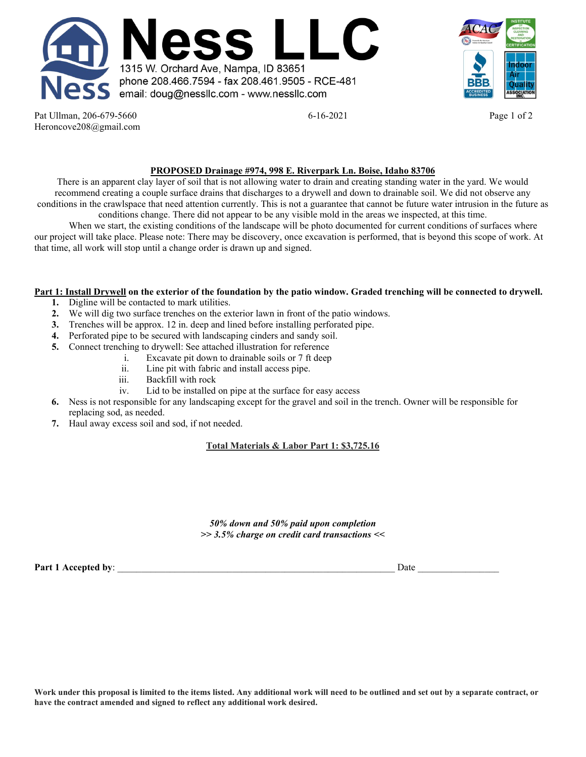



Pat Ullman, 206-679-5660 **6-16-2021 Page 1 of 2 Page 1 of 2** Heroncove208@gmail.com

## **PROPOSED Drainage #974, 998 E. Riverpark Ln. Boise, Idaho 83706**

There is an apparent clay layer of soil that is not allowing water to drain and creating standing water in the yard. We would recommend creating a couple surface drains that discharges to a drywell and down to drainable soil. We did not observe any conditions in the crawlspace that need attention currently. This is not a guarantee that cannot be future water intrusion in the future as conditions change. There did not appear to be any visible mold in the areas we inspected, at this time.

When we start, the existing conditions of the landscape will be photo documented for current conditions of surfaces where our project will take place. Please note: There may be discovery, once excavation is performed, that is beyond this scope of work. At that time, all work will stop until a change order is drawn up and signed.

## **Part 1: Install Drywell on the exterior of the foundation by the patio window. Graded trenching will be connected to drywell.**

- **1.** Digline will be contacted to mark utilities.
- **2.** We will dig two surface trenches on the exterior lawn in front of the patio windows.
- **3.** Trenches will be approx. 12 in. deep and lined before installing perforated pipe.
- **4.** Perforated pipe to be secured with landscaping cinders and sandy soil.
- **5.** Connect trenching to drywell: See attached illustration for reference
	- i. Excavate pit down to drainable soils or 7 ft deep
		- ii. Line pit with fabric and install access pipe.
		- Backfill with rock
	- iv. Lid to be installed on pipe at the surface for easy access
- **6.** Ness is not responsible for any landscaping except for the gravel and soil in the trench. Owner will be responsible for replacing sod, as needed.
- **7.** Haul away excess soil and sod, if not needed.

## **Total Materials & Labor Part 1: \$3,725.16**

*50% down and 50% paid upon completion >> 3.5% charge on credit card transactions <<*

**Part 1 Accepted by**: \_\_\_\_\_\_\_\_\_\_\_\_\_\_\_\_\_\_\_\_\_\_\_\_\_\_\_\_\_\_\_\_\_\_\_\_\_\_\_\_\_\_\_\_\_\_\_\_\_\_\_\_\_\_\_\_\_\_ Date \_\_\_\_\_\_\_\_\_\_\_\_\_\_\_\_\_

**Work under this proposal is limited to the items listed. Any additional work will need to be outlined and set out by a separate contract, or have the contract amended and signed to reflect any additional work desired.**